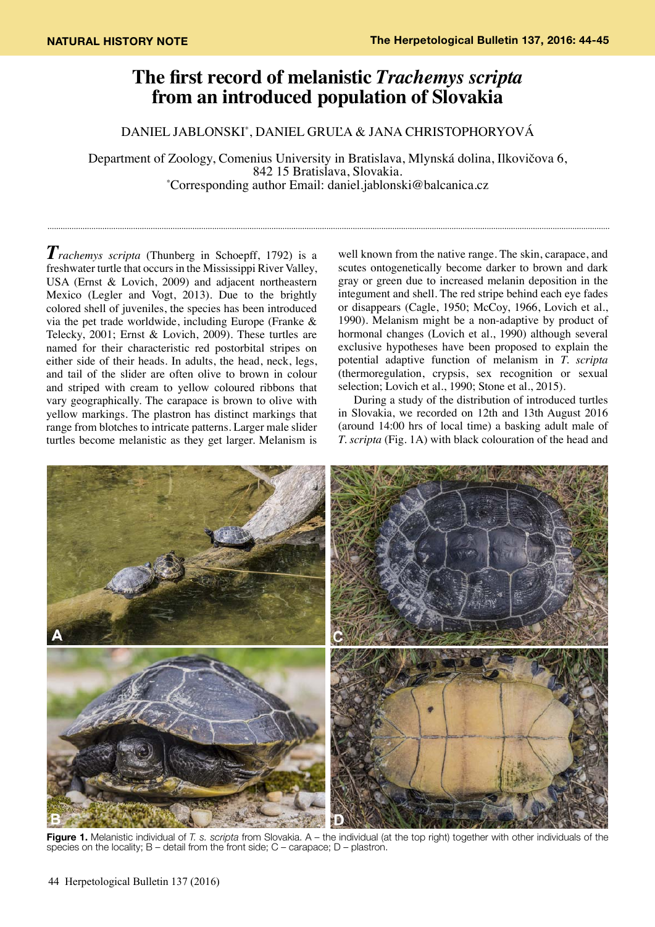## **The first record of melanistic** *Trachemys scripta* **from an introduced population of Slovakia**

Daniel Jablonski\* , Daniel Gruľa & Jana Christophoryová

Department of Zoology, Comenius University in Bratislava, Mlynská dolina, Ilkovičova 6, 842 15 Bratislava, Slovakia. \* Corresponding author Email: daniel.jablonski@balcanica.cz

*Trachemys scripta* (Thunberg in Schoepff, 1792) is a freshwater turtle that occurs in the Mississippi River Valley, USA (Ernst & Lovich, 2009) and adjacent northeastern Mexico (Legler and Vogt, 2013). Due to the brightly colored shell of juveniles, the species has been introduced via the pet trade worldwide, including Europe (Franke & Telecky, 2001; Ernst & Lovich, 2009). These turtles are named for their characteristic red postorbital stripes on either side of their heads. In adults, the head, neck, legs, and tail of the slider are often olive to brown in colour and striped with cream to yellow coloured ribbons that vary geographically. The carapace is brown to olive with yellow markings. The plastron has distinct markings that range from blotches to intricate patterns. Larger male slider turtles become melanistic as they get larger. Melanism is

well known from the native range. The skin, carapace, and scutes ontogenetically become darker to brown and dark gray or green due to increased melanin deposition in the integument and shell. The red stripe behind each eye fades or disappears (Cagle, 1950; McCoy, 1966, Lovich et al., 1990). Melanism might be a non-adaptive by product of hormonal changes (Lovich et al., 1990) although several exclusive hypotheses have been proposed to explain the potential adaptive function of melanism in *T. scripta* (thermoregulation, crypsis, sex recognition or sexual selection; Lovich et al., 1990; Stone et al., 2015).

During a study of the distribution of introduced turtles in Slovakia, we recorded on 12th and 13th August 2016 (around 14:00 hrs of local time) a basking adult male of *T. scripta* (Fig. 1A) with black colouration of the head and



**Figure 1.** Melanistic individual of *T. s. scripta* from Slovakia. A – the individual (at the top right) together with other individuals of the species on the locality; B – detail from the front side; C – carapace; D – plastron.